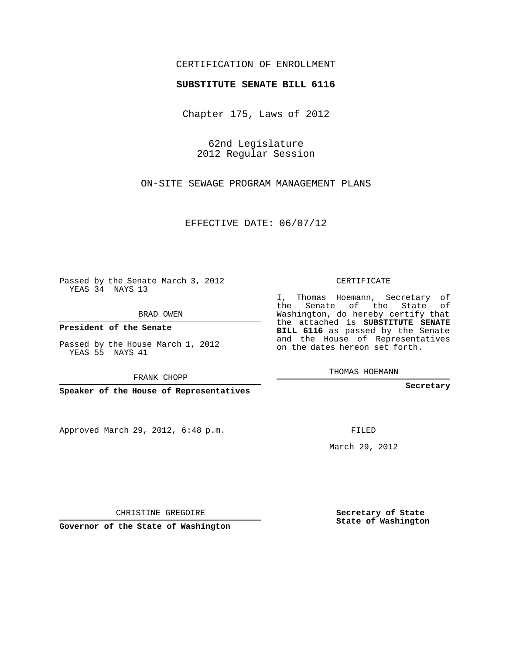## CERTIFICATION OF ENROLLMENT

## **SUBSTITUTE SENATE BILL 6116**

Chapter 175, Laws of 2012

62nd Legislature 2012 Regular Session

ON-SITE SEWAGE PROGRAM MANAGEMENT PLANS

EFFECTIVE DATE: 06/07/12

**Contractor** 

Passed by the Senate March 3, 2012 YEAS 34 NAYS 13

BRAD OWEN

**President of the Senate**

Passed by the House March 1, 2012 YEAS 55 NAYS 41

FRANK CHOPP

**Speaker of the House of Representatives**

Approved March 29, 2012, 6:48 p.m.

CERTIFICATE

I, Thomas Hoemann, Secretary of the Senate of the State of Washington, do hereby certify that the attached is **SUBSTITUTE SENATE BILL 6116** as passed by the Senate and the House of Representatives on the dates hereon set forth.

THOMAS HOEMANN

**Secretary**

FILED

March 29, 2012

**Secretary of State State of Washington**

CHRISTINE GREGOIRE

**Governor of the State of Washington**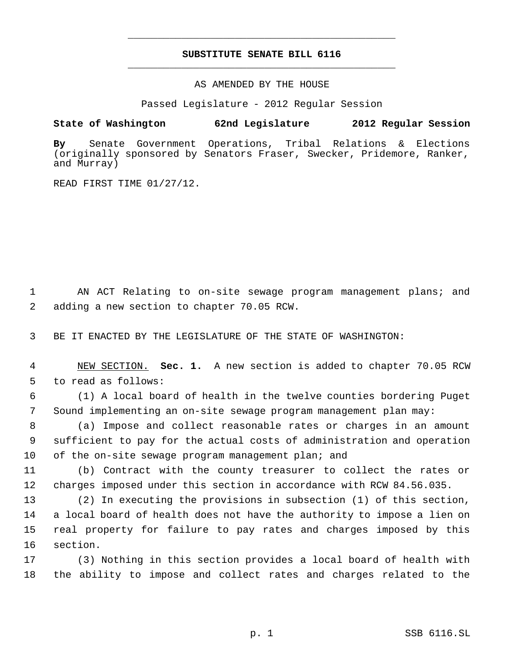## **SUBSTITUTE SENATE BILL 6116** \_\_\_\_\_\_\_\_\_\_\_\_\_\_\_\_\_\_\_\_\_\_\_\_\_\_\_\_\_\_\_\_\_\_\_\_\_\_\_\_\_\_\_\_\_

\_\_\_\_\_\_\_\_\_\_\_\_\_\_\_\_\_\_\_\_\_\_\_\_\_\_\_\_\_\_\_\_\_\_\_\_\_\_\_\_\_\_\_\_\_

AS AMENDED BY THE HOUSE

Passed Legislature - 2012 Regular Session

## **State of Washington 62nd Legislature 2012 Regular Session**

**By** Senate Government Operations, Tribal Relations & Elections (originally sponsored by Senators Fraser, Swecker, Pridemore, Ranker, and Murray)

READ FIRST TIME 01/27/12.

 1 AN ACT Relating to on-site sewage program management plans; and 2 adding a new section to chapter 70.05 RCW.

3 BE IT ENACTED BY THE LEGISLATURE OF THE STATE OF WASHINGTON:

 4 NEW SECTION. **Sec. 1.** A new section is added to chapter 70.05 RCW 5 to read as follows:

 6 (1) A local board of health in the twelve counties bordering Puget 7 Sound implementing an on-site sewage program management plan may:

 8 (a) Impose and collect reasonable rates or charges in an amount 9 sufficient to pay for the actual costs of administration and operation 10 of the on-site sewage program management plan; and

11 (b) Contract with the county treasurer to collect the rates or 12 charges imposed under this section in accordance with RCW 84.56.035.

 (2) In executing the provisions in subsection (1) of this section, a local board of health does not have the authority to impose a lien on real property for failure to pay rates and charges imposed by this 16 section.

17 (3) Nothing in this section provides a local board of health with 18 the ability to impose and collect rates and charges related to the